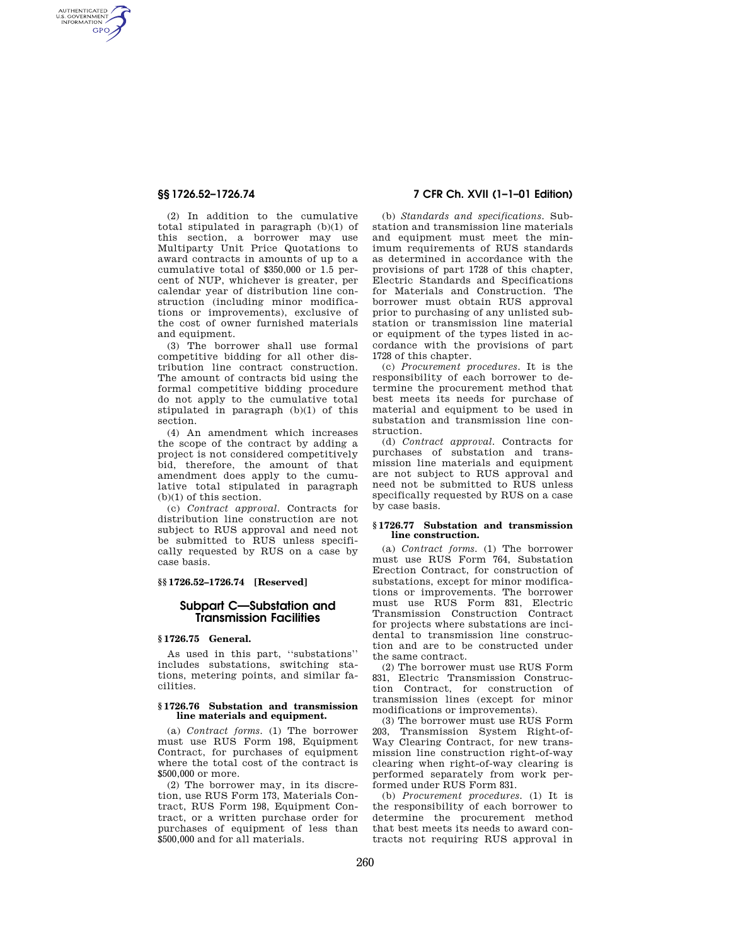AUTHENTICATED<br>U.S. GOVERNMENT<br>INFORMATION **GPO** 

> (2) In addition to the cumulative total stipulated in paragraph (b)(1) of this section, a borrower may use Multiparty Unit Price Quotations to award contracts in amounts of up to a cumulative total of \$350,000 or 1.5 percent of NUP, whichever is greater, per calendar year of distribution line construction (including minor modifications or improvements), exclusive of the cost of owner furnished materials and equipment.

> (3) The borrower shall use formal competitive bidding for all other distribution line contract construction. The amount of contracts bid using the formal competitive bidding procedure do not apply to the cumulative total stipulated in paragraph (b)(1) of this section.

> (4) An amendment which increases the scope of the contract by adding a project is not considered competitively bid, therefore, the amount of that amendment does apply to the cumulative total stipulated in paragraph (b)(1) of this section.

> (c) *Contract approval.* Contracts for distribution line construction are not subject to RUS approval and need not be submitted to RUS unless specifically requested by RUS on a case by case basis.

## **§§ 1726.52–1726.74 [Reserved]**

# **Subpart C—Substation and Transmission Facilities**

## **§ 1726.75 General.**

As used in this part, ''substations'' includes substations, switching stations, metering points, and similar facilities.

### **§ 1726.76 Substation and transmission line materials and equipment.**

(a) *Contract forms.* (1) The borrower must use RUS Form 198, Equipment Contract, for purchases of equipment where the total cost of the contract is \$500,000 or more.

(2) The borrower may, in its discretion, use RUS Form 173, Materials Contract, RUS Form 198, Equipment Contract, or a written purchase order for purchases of equipment of less than \$500,000 and for all materials.

# **§§ 1726.52–1726.74 7 CFR Ch. XVII (1–1–01 Edition)**

(b) *Standards and specifications.* Substation and transmission line materials and equipment must meet the minimum requirements of RUS standards as determined in accordance with the provisions of part 1728 of this chapter, Electric Standards and Specifications for Materials and Construction. The borrower must obtain RUS approval prior to purchasing of any unlisted substation or transmission line material or equipment of the types listed in accordance with the provisions of part 1728 of this chapter.

(c) *Procurement procedures.* It is the responsibility of each borrower to determine the procurement method that best meets its needs for purchase of material and equipment to be used in substation and transmission line construction.

(d) *Contract approval.* Contracts for purchases of substation and transmission line materials and equipment are not subject to RUS approval and need not be submitted to RUS unless specifically requested by RUS on a case by case basis.

#### **§ 1726.77 Substation and transmission line construction.**

(a) *Contract forms.* (1) The borrower must use RUS Form 764, Substation Erection Contract, for construction of substations, except for minor modifications or improvements. The borrower must use RUS Form 831, Electric Transmission Construction Contract for projects where substations are incidental to transmission line construction and are to be constructed under the same contract.

(2) The borrower must use RUS Form 831, Electric Transmission Construction Contract, for construction of transmission lines (except for minor modifications or improvements).

(3) The borrower must use RUS Form 203, Transmission System Right-of-Way Clearing Contract, for new transmission line construction right-of-way clearing when right-of-way clearing is performed separately from work performed under RUS Form 831.

(b) *Procurement procedures.* (1) It is the responsibility of each borrower to determine the procurement method that best meets its needs to award contracts not requiring RUS approval in